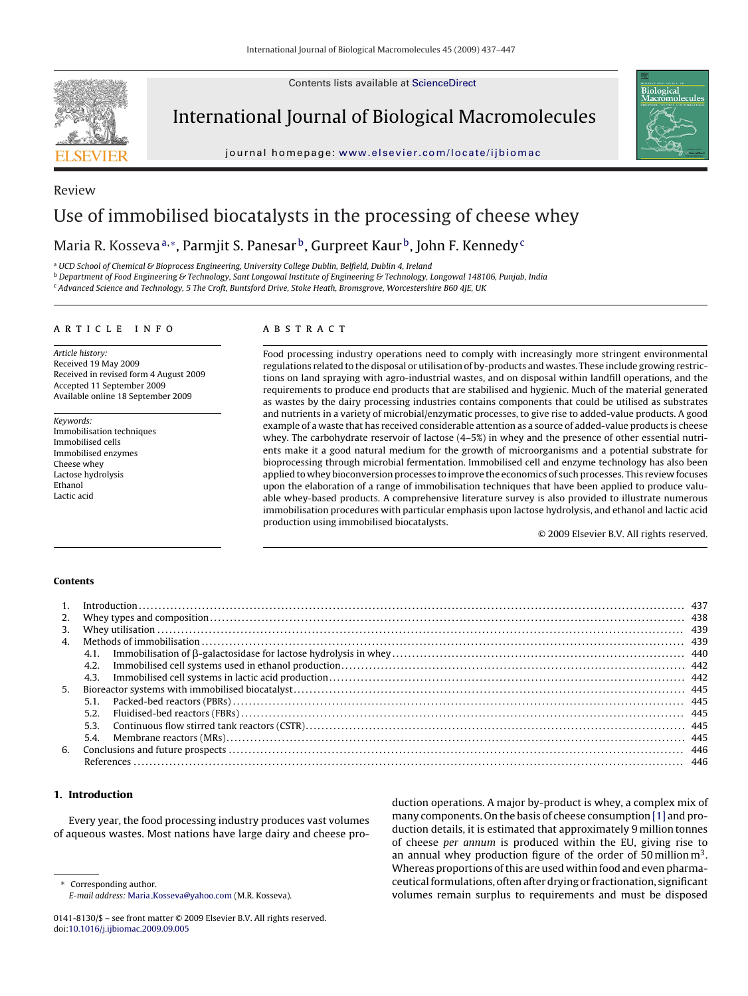Contents lists available at [ScienceDirect](http://www.sciencedirect.com/science/journal/01418130)



International Journal of Biological Macromolecules

journal homepage: [www.elsevier.com/locate/ijbiomac](http://www.elsevier.com/locate/ijbiomac)



# Review Use of immobilised biocatalysts in the processing of cheese whey

## Maria R. Kosseva<sup>a,∗</sup>, Parmjit S. Panesar<sup>b</sup>, Gurpreet Kaur<sup>b</sup>, John F. Kennedy<sup>c</sup>

a UCD School of Chemical & Bioprocess Engineering, University College Dublin, Belfield, Dublin 4, Ireland

**b** Department of Food Engineering & Technology, Sant Longowal Institute of Engineering & Technology, Longowal 148106, Punjab, India

<sup>c</sup> Advanced Science and Technology, 5 The Croft, Buntsford Drive, Stoke Heath, Bromsgrove, Worcestershire B60 4JE, UK

## article info

Article history: Received 19 May 2009 Received in revised form 4 August 2009 Accepted 11 September 2009 Available online 18 September 2009

Keywords: Immobilisation techniques Immobilised cells Immobilised enzymes Cheese whey Lactose hydrolysis Ethanol Lactic acid

## abstract

Food processing industry operations need to comply with increasingly more stringent environmental regulations related to the disposal or utilisation of by-products and wastes. These include growing restrictions on land spraying with agro-industrial wastes, and on disposal within landfill operations, and the requirements to produce end products that are stabilised and hygienic. Much of the material generated as wastes by the dairy processing industries contains components that could be utilised as substrates and nutrients in a variety of microbial/enzymatic processes, to give rise to added-value products. A good example of a waste that has received considerable attention as a source of added-value products is cheese whey. The carbohydrate reservoir of lactose (4–5%) in whey and the presence of other essential nutrients make it a good natural medium for the growth of microorganisms and a potential substrate for bioprocessing through microbial fermentation. Immobilised cell and enzyme technology has also been applied to whey bioconversion processes to improve the economics of such processes. This review focuses upon the elaboration of a range of immobilisation techniques that have been applied to produce valuable whey-based products. A comprehensive literature survey is also provided to illustrate numerous immobilisation procedures with particular emphasis upon lactose hydrolysis, and ethanol and lactic acid production using immobilised biocatalysts.

© 2009 Elsevier B.V. All rights reserved.

#### **Contents**

| 2. |      |  |
|----|------|--|
| 3. |      |  |
| 4. |      |  |
|    |      |  |
|    |      |  |
|    |      |  |
| 5. |      |  |
|    |      |  |
|    | 5.2. |  |
|    | 5.3. |  |
|    |      |  |
|    |      |  |
|    |      |  |
|    |      |  |

## **1. Introduction**

Every year, the food processing industry produces vast volumes of aqueous wastes. Most nations have large dairy and cheese pro-

Corresponding author. E-mail address: Maria [Kosseva@yahoo.com](mailto:Maria_Kosseva@yahoo.com) (M.R. Kosseva).

duction operations. A major by-product is whey, a complex mix of many components. On the basis of cheese consumption [\[1\]](#page-9-0) and production details, it is estimated that approximately 9 million tonnes of cheese per annum is produced within the EU, giving rise to an annual whey production figure of the order of 50 million  $m<sup>3</sup>$ . Whereas proportions of this are used within food and even pharmaceutical formulations, often after drying or fractionation, significant volumes remain surplus to requirements and must be disposed

<sup>0141-8130/\$ –</sup> see front matter © 2009 Elsevier B.V. All rights reserved. doi:[10.1016/j.ijbiomac.2009.09.005](dx.doi.org/10.1016/j.ijbiomac.2009.09.005)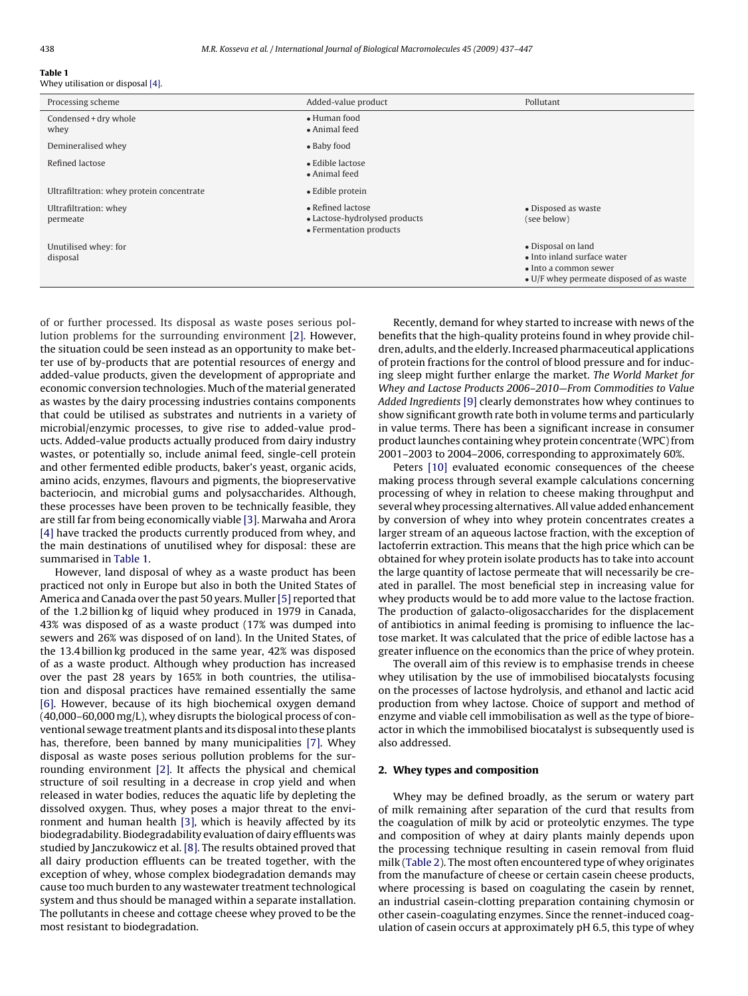#### **Table 1** Whey utilisation or disposal [\[4\].](#page-9-0)

| Processing scheme                         | Added-value product                                                           | Pollutant                                                                                                                      |
|-------------------------------------------|-------------------------------------------------------------------------------|--------------------------------------------------------------------------------------------------------------------------------|
| Condensed + dry whole<br>whey             | • Human food<br>• Animal feed                                                 |                                                                                                                                |
| Demineralised whey                        | • Baby food                                                                   |                                                                                                                                |
| Refined lactose                           | $\bullet$ Edible lactose<br>• Animal feed                                     |                                                                                                                                |
| Ultrafiltration: whey protein concentrate | • Edible protein                                                              |                                                                                                                                |
| Ultrafiltration: whey<br>permeate         | • Refined lactose<br>• Lactose-hydrolysed products<br>• Fermentation products | • Disposed as waste<br>(see below)                                                                                             |
| Unutilised whey: for<br>disposal          |                                                                               | • Disposal on land<br>• Into inland surface water<br>$\bullet$ Into a common sewer<br>• U/F whey permeate disposed of as waste |

of or further processed. Its disposal as waste poses serious pollution problems for the surrounding environment [\[2\]. H](#page-9-0)owever, the situation could be seen instead as an opportunity to make better use of by-products that are potential resources of energy and added-value products, given the development of appropriate and economic conversion technologies. Much of the material generated as wastes by the dairy processing industries contains components that could be utilised as substrates and nutrients in a variety of microbial/enzymic processes, to give rise to added-value products. Added-value products actually produced from dairy industry wastes, or potentially so, include animal feed, single-cell protein and other fermented edible products, baker's yeast, organic acids, amino acids, enzymes, flavours and pigments, the biopreservative bacteriocin, and microbial gums and polysaccharides. Although, these processes have been proven to be technically feasible, they are still far from being economically viable [\[3\]. M](#page-9-0)arwaha and Arora [\[4\]](#page-9-0) have tracked the products currently produced from whey, and the main destinations of unutilised whey for disposal: these are summarised in Table 1.

However, land disposal of whey as a waste product has been practiced not only in Europe but also in both the United States of America and Canada over the past 50 years. Muller [\[5\]](#page-9-0) reported that of the 1.2 billion kg of liquid whey produced in 1979 in Canada, 43% was disposed of as a waste product (17% was dumped into sewers and 26% was disposed of on land). In the United States, of the 13.4 billion kg produced in the same year, 42% was disposed of as a waste product. Although whey production has increased over the past 28 years by 165% in both countries, the utilisation and disposal practices have remained essentially the same [\[6\].](#page-9-0) However, because of its high biochemical oxygen demand (40,000–60,000 mg/L), whey disrupts the biological process of conventional sewage treatment plants and its disposal into these plants has, therefore, been banned by many municipalities [\[7\].](#page-9-0) Whey disposal as waste poses serious pollution problems for the surrounding environment [\[2\].](#page-9-0) It affects the physical and chemical structure of soil resulting in a decrease in crop yield and when released in water bodies, reduces the aquatic life by depleting the dissolved oxygen. Thus, whey poses a major threat to the environment and human health [\[3\],](#page-9-0) which is heavily affected by its biodegradability. Biodegradability evaluation of dairy effluents was studied by Janczukowicz et al. [\[8\]. T](#page-9-0)he results obtained proved that all dairy production effluents can be treated together, with the exception of whey, whose complex biodegradation demands may cause too much burden to any wastewater treatment technological system and thus should be managed within a separate installation. The pollutants in cheese and cottage cheese whey proved to be the most resistant to biodegradation.

Recently, demand for whey started to increase with news of the benefits that the high-quality proteins found in whey provide children, adults, and the elderly. Increased pharmaceutical applications of protein fractions for the control of blood pressure and for inducing sleep might further enlarge the market. The World Market for Whey and Lactose Products 2006–2010—From Commodities to Value Added Ingredients [\[9\]](#page-9-0) clearly demonstrates how whey continues to show significant growth rate both in volume terms and particularly in value terms. There has been a significant increase in consumer product launches containing whey protein concentrate (WPC) from 2001–2003 to 2004–2006, corresponding to approximately 60%.

Peters [\[10\]](#page-9-0) evaluated economic consequences of the cheese making process through several example calculations concerning processing of whey in relation to cheese making throughput and several whey processing alternatives. All value added enhancement by conversion of whey into whey protein concentrates creates a larger stream of an aqueous lactose fraction, with the exception of lactoferrin extraction. This means that the high price which can be obtained for whey protein isolate products has to take into account the large quantity of lactose permeate that will necessarily be created in parallel. The most beneficial step in increasing value for whey products would be to add more value to the lactose fraction. The production of galacto-oligosaccharides for the displacement of antibiotics in animal feeding is promising to influence the lactose market. It was calculated that the price of edible lactose has a greater influence on the economics than the price of whey protein.

The overall aim of this review is to emphasise trends in cheese whey utilisation by the use of immobilised biocatalysts focusing on the processes of lactose hydrolysis, and ethanol and lactic acid production from whey lactose. Choice of support and method of enzyme and viable cell immobilisation as well as the type of bioreactor in which the immobilised biocatalyst is subsequently used is also addressed.

#### **2. Whey types and composition**

Whey may be defined broadly, as the serum or watery part of milk remaining after separation of the curd that results from the coagulation of milk by acid or proteolytic enzymes. The type and composition of whey at dairy plants mainly depends upon the processing technique resulting in casein removal from fluid milk [\(Table 2\).](#page-2-0) The most often encountered type of whey originates from the manufacture of cheese or certain casein cheese products, where processing is based on coagulating the casein by rennet, an industrial casein-clotting preparation containing chymosin or other casein-coagulating enzymes. Since the rennet-induced coagulation of casein occurs at approximately pH 6.5, this type of whey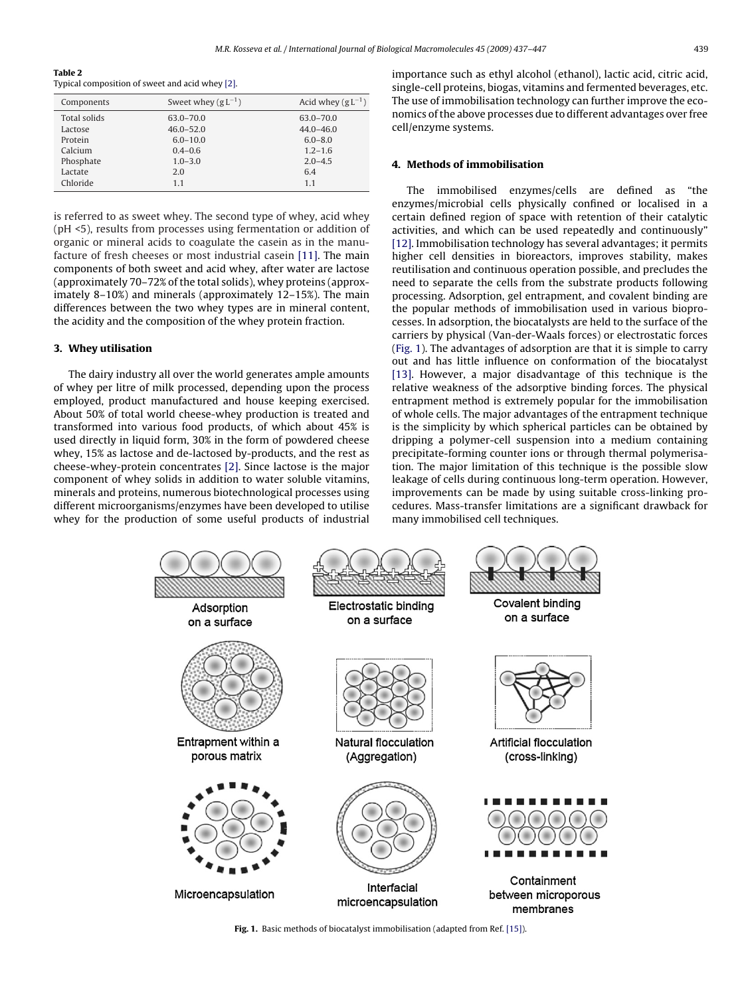<span id="page-2-0"></span>**Table 2**

| Typical composition of sweet and acid whey [2]. |  |  |  |  |  |  |
|-------------------------------------------------|--|--|--|--|--|--|
|-------------------------------------------------|--|--|--|--|--|--|

| Components   | Sweet whey $(g L^{-1})$ | Acid whey $(gL^{-1})$ |
|--------------|-------------------------|-----------------------|
| Total solids | $63.0 - 70.0$           | $63.0 - 70.0$         |
| Lactose      | $46.0 - 52.0$           | $44.0 - 46.0$         |
| Protein      | $6.0 - 10.0$            | $6.0 - 8.0$           |
| Calcium      | $0.4 - 0.6$             | $1.2 - 1.6$           |
| Phosphate    | $1.0 - 3.0$             | $2.0 - 4.5$           |
| Lactate      | 2.0                     | 6.4                   |
| Chloride     | 1.1                     | 1.1                   |
|              |                         |                       |

is referred to as sweet whey. The second type of whey, acid whey (pH <5), results from processes using fermentation or addition of organic or mineral acids to coagulate the casein as in the manufacture of fresh cheeses or most industrial casein [\[11\]. T](#page-9-0)he main components of both sweet and acid whey, after water are lactose (approximately 70–72% of the total solids), whey proteins (approximately 8–10%) and minerals (approximately 12–15%). The main differences between the two whey types are in mineral content, the acidity and the composition of the whey protein fraction.

#### **3. Whey utilisation**

The dairy industry all over the world generates ample amounts of whey per litre of milk processed, depending upon the process employed, product manufactured and house keeping exercised. About 50% of total world cheese-whey production is treated and transformed into various food products, of which about 45% is used directly in liquid form, 30% in the form of powdered cheese whey, 15% as lactose and de-lactosed by-products, and the rest as cheese-whey-protein concentrates [\[2\]. S](#page-9-0)ince lactose is the major component of whey solids in addition to water soluble vitamins, minerals and proteins, numerous biotechnological processes using different microorganisms/enzymes have been developed to utilise whey for the production of some useful products of industrial

importance such as ethyl alcohol (ethanol), lactic acid, citric acid, single-cell proteins, biogas, vitamins and fermented beverages, etc. The use of immobilisation technology can further improve the economics of the above processes due to different advantages over free cell/enzyme systems.

#### **4. Methods of immobilisation**

The immobilised enzymes/cells are defined as "the enzymes/microbial cells physically confined or localised in a certain defined region of space with retention of their catalytic activities, and which can be used repeatedly and continuously" [\[12\]. I](#page-9-0)mmobilisation technology has several advantages; it permits higher cell densities in bioreactors, improves stability, makes reutilisation and continuous operation possible, and precludes the need to separate the cells from the substrate products following processing. Adsorption, gel entrapment, and covalent binding are the popular methods of immobilisation used in various bioprocesses. In adsorption, the biocatalysts are held to the surface of the carriers by physical (Van-der-Waals forces) or electrostatic forces (Fig. 1). The advantages of adsorption are that it is simple to carry out and has little influence on conformation of the biocatalyst [\[13\].](#page-9-0) However, a major disadvantage of this technique is the relative weakness of the adsorptive binding forces. The physical entrapment method is extremely popular for the immobilisation of whole cells. The major advantages of the entrapment technique is the simplicity by which spherical particles can be obtained by dripping a polymer-cell suspension into a medium containing precipitate-forming counter ions or through thermal polymerisation. The major limitation of this technique is the possible slow leakage of cells during continuous long-term operation. However, improvements can be made by using suitable cross-linking procedures. Mass-transfer limitations are a significant drawback for many immobilised cell techniques.



**Fig. 1.** Basic methods of biocatalyst immobilisation (adapted from Ref. [\[15\]\).](#page-9-0)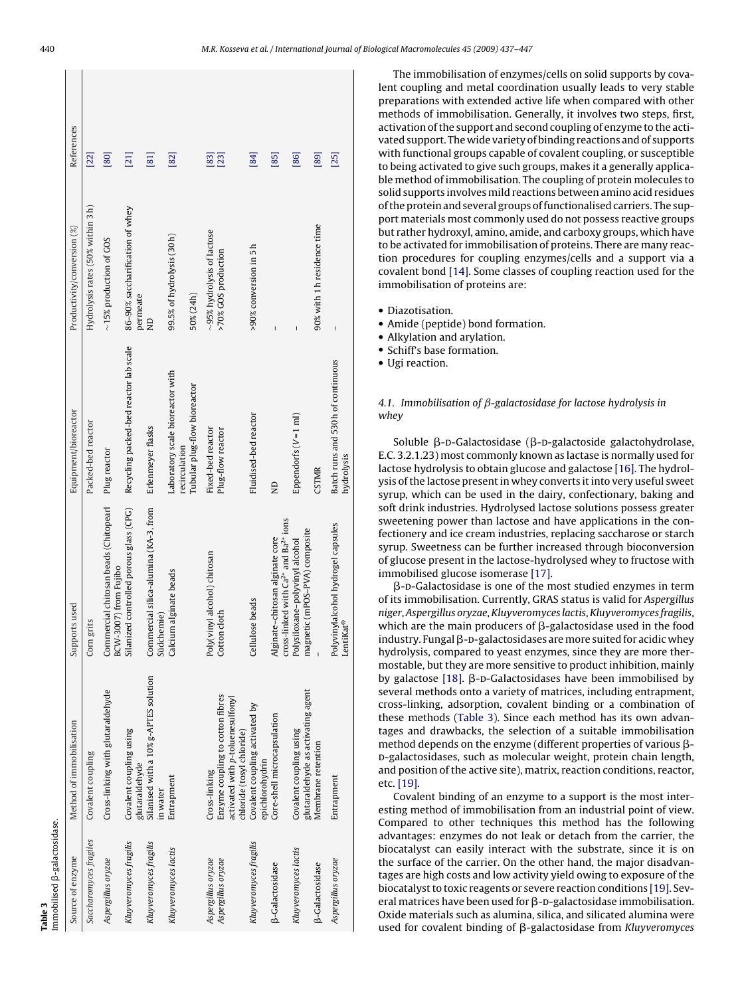| ۰ |
|---|

|               | š |  |
|---------------|---|--|
|               | ì |  |
|               |   |  |
|               |   |  |
|               |   |  |
| $\frac{1}{2}$ |   |  |

| strategien der der mannen                |                                                                                                                    |                                                                                                 |                                                                                   |                                                   |                                          |
|------------------------------------------|--------------------------------------------------------------------------------------------------------------------|-------------------------------------------------------------------------------------------------|-----------------------------------------------------------------------------------|---------------------------------------------------|------------------------------------------|
| Source of enzyme                         | Method of immobilisation                                                                                           | Supports used                                                                                   | Equipment/bioreactor                                                              | Productivity/conversion (%)                       | References                               |
| Saccharomyces fragiies                   | Covalent coupling                                                                                                  | Corn grits                                                                                      | Packed-bed reactor                                                                | Hydrolysis rates (50% within 3 h)                 | $[22]$                                   |
| Aspergillus oryzae                       | Cross-linking with glutaraldehyde                                                                                  | Commercial chitosan beads (Chitopearl Plug reactor<br>BCW-3007) from Fujibo                     |                                                                                   | $\sim$ 15% production of GOS                      | [80]                                     |
| Kluyveromyces fragilis                   | Covalent coupling using<br>glutaraldehyde                                                                          | Silanized controlled porous glass (CPG)                                                         | Recycling packed-bed reactor lab scale                                            | 86-90% saccharification of whey<br>permeate       | $\begin{bmatrix} 21 \end{bmatrix}$       |
| Kluyveromyces fragilis                   | Silanised with a 10% g-APTES solution<br>in water                                                                  | Commercial silica-alumina (KA-3, from<br>Südchemie)                                             | Erlenmeyer flasks                                                                 | $\Xi$                                             | $\left[ 81\right]$                       |
| Kluyveromyces lactis                     | Entrapment                                                                                                         | Calcium alginate beads                                                                          | Laboratory scale bioreactor with<br>Tubular plug-flow bioreactor<br>recirculation | 99.5% of hydrolysis (30h)<br>50% (24h)            | [82]                                     |
| Aspergillus oryzae<br>Aspergillus oryzae | Enzyme coupling to cotton fibres<br>activated with p-toluenesulfonyl<br>chloride (tosyl chloride)<br>Cross-linking | Poly(vinyl alcohol) chitosan<br>Cotton cloth                                                    | Fixed-bed reactor<br>Plug-flow reactor                                            | ~95% hydrolysis of lactose<br>>70% GOS production | $\begin{bmatrix} 83 \\ 23 \end{bmatrix}$ |
| Kluyveromyces fragilis                   | Covalent coupling activated by<br>epichlorohydrin                                                                  | Cellulose beads                                                                                 | Fluidised-bed reactor                                                             | >90% conversion in 5h                             | [84]                                     |
| <b>B-Galactosidase</b>                   | Core-shell microcapsulation                                                                                        | cross-linked with Ca <sup>2+</sup> and Ba <sup>2+</sup> ions<br>Alginate-chitosan alginate core | g                                                                                 |                                                   | $[85]$                                   |
| Kluyveromyces lactis                     | glutaraldehyde as activating agent<br>Covalent coupling using                                                      | magnetic (mPOS-PVA) composite<br>Polysiloxane-polyvinyl alcohol                                 | Eppendorfs $(V=1 \text{ ml})$                                                     | $\overline{1}$                                    | [86]                                     |
| <b>B-Galactosidase</b>                   | Membrane retention                                                                                                 |                                                                                                 | <b>CSTMR</b>                                                                      | 90% with 1 h residence time                       | [89]                                     |
| Aspergillus oryzae                       | Entrapment                                                                                                         | Polyvinylalcohol hydrogel capsules<br>LentiKat <sup>®</sup>                                     | Batch runs and 530 h of continuous<br>hydrolysis                                  | $\overline{1}$                                    | [25]                                     |
|                                          |                                                                                                                    |                                                                                                 |                                                                                   |                                                   |                                          |

The immobilisation of enzymes/cells on solid supports by covalent coupling and metal coordination usually leads to very stable preparations with extended active life when compared with other methods of immobilisation. Generally, it involves two steps, first, activation of the support and second coupling of enzyme to the activated support. The wide variety of binding reactions and of supports with functional groups capable of covalent coupling, or susceptible to being activated to give such groups, makes it a generally applicable method of immobilisation. The coupling of protein molecules to solid supports involves mild reactions between amino acid residues of the protein and several groups of functionalised carriers. The support materials most commonly used do not possess reactive groups but rather hydroxyl, amino, amide, and carboxy groups, which have to be activated for immobilisation of proteins. There are many reaction procedures for coupling enzymes/cells and a support via a covalent bond [\[14\]. S](#page-9-0)ome classes of coupling reaction used for the immobilisation of proteins are:

- Diazotisation.
- Amide (peptide) bond formation.
- Alkylation and arylation.
- Schiff's base formation.
- Ugi reaction.

## 4.1. Immobilisation of  $\beta$ -galactosidase for lactose hydrolysis in whey

Soluble β-D-Galactosidase (β-D-galactoside galactohydrolase, E.C. 3.2.1.23) most commonly known as lactase is normally used for lactose hydrolysis to obtain glucose and galactose [\[16\]. T](#page-9-0)he hydrolysis of the lactose present in whey converts it into very useful sweet syrup, which can be used in the dairy, confectionary, baking and soft drink industries. Hydrolysed lactose solutions possess greater sweetening power than lactose and have applications in the confectionery and ice cream industries, replacing saccharose or starch syrup. Sweetness can be further increased through bioconversion of glucose present in the lactose-hydrolysed whey to fructose with immobilised glucose isomerase [\[17\].](#page-9-0)

β-D-Galactosidase is one of the most studied enzymes in term of its immobilisation. Currently, GRAS status is valid for Aspergillus niger, Aspergillus oryzae, Kluyveromyces lactis, Kluyveromyces fragilis, which are the main producers of  $\beta$ -galactosidase used in the food industry. Fungal  $\beta$ -D-galactosidases are more suited for acidic whey hydrolysis, compared to yeast enzymes, since they are more thermostable, but they are more sensitive to product inhibition, mainly by galactose [\[18\].](#page-9-0)  $\beta$ -D-Galactosidases have been immobilised by several methods onto a variety of matrices, including entrapment, cross-linking, adsorption, covalent binding or a combination of these methods (Table 3). Since each method has its own advantages and drawbacks, the selection of a suitable immobilisation method depends on the enzyme (different properties of various  $\beta$ d-galactosidases, such as molecular weight, protein chain length, and position of the active site), matrix, reaction conditions, reactor, etc. [\[19\].](#page-9-0)

Covalent binding of an enzyme to a support is the most interesting method of immobilisation from an industrial point of view. Compared to other techniques this method has the following advantages: enzymes do not leak or detach from the carrier, the biocatalyst can easily interact with the substrate, since it is on the surface of the carrier. On the other hand, the major disadvantages are high costs and low activity yield owing to exposure of the biocatalyst to toxic reagents or severe reaction conditions [\[19\]. S](#page-9-0)everal matrices have been used for  $\beta$ -D-galactosidase immobilisation. Oxide materials such as alumina, silica, and silicated alumina were used for covalent binding of  $\beta$ -galactosidase from Kluyveromyces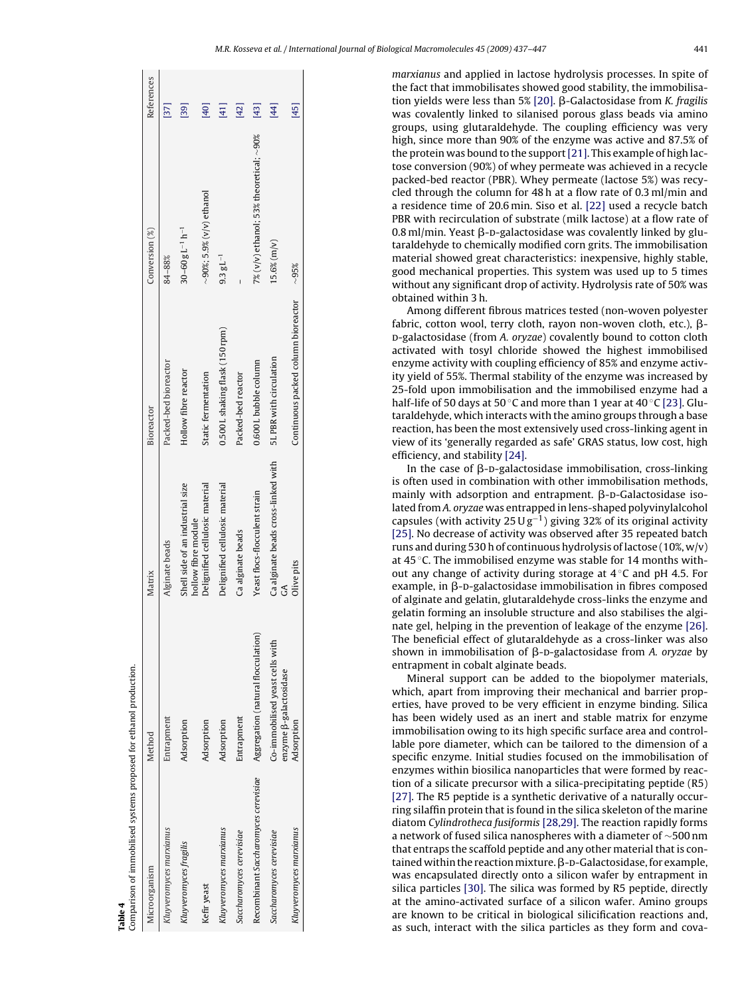marxianus and applied in lactose hydrolysis processes. In spite of the fact that immobilisates showed good stability, the immobilisa-tion yields were less than 5% [\[20\].](#page-9-0) β-Galactosidase from *K. fragilis* was covalently linked to silanised porous glass beads via amino groups, using glutaraldehyde. The coupling efficiency was very high, since more than 90% of the enzyme was active and 87.5% of the protein was bound to the support[\[21\]. T](#page-9-0)his example of high lactose conversion (90%) of whey permeate was achieved in a recycle packed-bed reactor (PBR). Whey permeate (lactose 5%) was recycled through the column for 48 h at a flow rate of 0.3 ml/min and a residence time of 20.6 min. Siso et al. [\[22\]](#page-9-0) used a recycle batch PBR with recirculation of substrate (milk lactose) at a flow rate of  $0.8$  ml/min. Yeast  $\beta$ -D-galactosidase was covalently linked by glutaraldehyde to chemically modified corn grits. The immobilisation material showed great characteristics: inexpensive, highly stable, good mechanical properties. This system was used up to 5 times without any significant drop of activity. Hydrolysis rate of 50% was obtained within 3 h.

Among different fibrous matrices tested (non-woven polyester fabric, cotton wool, terry cloth, rayon non-woven cloth, etc.),  $\beta$ d-galactosidase (from A. oryzae) covalently bound to cotton cloth activated with tosyl chloride showed the highest immobilised enzyme activity with coupling efficiency of 85% and enzyme activity yield of 55%. Thermal stability of the enzyme was increased by 25-fold upon immobilisation and the immobilised enzyme had a half-life of 50 days at 50 °C and more than 1 year at 40 °C [\[23\]. G](#page-9-0)lutaraldehyde, which interacts with the amino groups through a base reaction, has been the most extensively used cross-linking agent in view of its 'generally regarded as safe' GRAS status, low cost, high efficiency, and stability [\[24\]](#page-9-0) .

In the case of  $\beta$ -D-galactosidase immobilisation, cross-linking is often used in combination with other immobilisation methods, mainly with adsorption and entrapment.  $\beta$ -D-Galactosidase isolated from A. oryzae was entrapped in lens-shaped polyvinylalcohol capsules (with activity 25 U  $g^{-1}$ ) giving 32% of its original activity [\[25\]. N](#page-9-0)o decrease of activity was observed after 35 repeated batch runs and during 530 h of continuous hydrolysis of lactose (10%, w/v) at 45 ◦C. The immobilised enzyme was stable for 14 months without any change of activity during storage at  $4^\circ$ C and pH 4.5. For example, in β-D-galactosidase immobilisation in fibres composed of alginate and gelatin, glutaraldehyde cross-links the enzyme and gelatin forming an insoluble structure and also stabilises the alginate gel, helping in the prevention of leakage of the enzyme [\[26\].](#page-9-0) The beneficial effect of glutaraldehyde as a cross-linker was also shown in immobilisation of  $\beta$ -D-galactosidase from A. oryzae by entrapment in cobalt alginate beads.

Mineral support can be added to the biopolymer materials, which, apart from improving their mechanical and barrier properties, have proved to be very efficient in enzyme binding. Silica has been widely used as an inert and stable matrix for enzyme immobilisation owing to its high specific surface area and controllable pore diameter, which can be tailored to the dimension of a specific enzyme. Initial studies focused on the immobilisation of enzymes within biosilica nanoparticles that were formed by reaction of a silicate precursor with a silica-precipitating peptide (R5) [\[27\]. T](#page-9-0)he R5 peptide is a synthetic derivative of a naturally occurring silaffin protein that is found in the silica skeleton of the marine diatom Cylindrotheca fusiformis [\[28,29\]. T](#page-9-0)he reaction rapidly forms a network of fused silica nanospheres with a diameter of ∼500 nm that entraps the scaffold peptide and any other material that is contained within the reaction mixture.  $\beta$ -D-Galactosidase, for example, was encapsulated directly onto a silicon wafer by entrapment in silica particles [\[30\]. T](#page-9-0)he silica was formed by R5 peptide, directly at the amino-activated surface of a silicon wafer. Amino groups are known to be critical in biological silicification reactions and, as such, interact with the silica particles as they form and cova-

Comparison of immobilised systems proposed for ethanol production. Comparison of immobilised systems proposed for ethanol production **Table 4**

<span id="page-4-0"></span>

| Microorganism                        | Method                                                    | Matrix                                                  | Bioreactor                          | Conversion (%)                                    | References         |
|--------------------------------------|-----------------------------------------------------------|---------------------------------------------------------|-------------------------------------|---------------------------------------------------|--------------------|
| Kluyveromyces marxianus              | Entrapment                                                | Alginate beads                                          | Packed-bed bioreactor               | 84-88%                                            | $\overline{37}$    |
| Kluyveromyces fragilis               | Adsorption                                                | Shell side of an industrial size<br>hollow fibre module | Hollow fibre reactor                | $30-60 g L^{-1} h^{-1}$                           | $\left[ 39\right]$ |
| Kefir yeast                          | Adsorption                                                | Delignified cellulosic material                         | Static fermentation                 | $\sim$ 90%; 5.9% (v/v) ethanol                    | $\overline{5}$     |
| Kluyveromyces marxianus              | Adsorption                                                | Delignified cellulosic material                         | 0.500 L shaking flask (150 rpm)     | $9.3 g L^{-1}$                                    | $\overline{11}$    |
| Saccharomyces cerevisiae             | Entrapment                                                | Ca alginate beads                                       | Packed-bed reactor                  |                                                   | $[42]$             |
| Recombinant Saccharomyces cerevisiae | Aggregation (natural flocculation)                        | Yeast flocs-flocculent strain                           | 0.600 L bubble column               | 7% ( $v/v$ ) ethanol; 53% theoretical; $\sim$ 90% | $[43]$             |
| Saccharomyces cerevisiae             | Co-immobilised yeast cells with<br>enzyme ß-galactosidase | Ca alginate beads cross-linked with                     | 5L PBR with circulation             | $15.6%$ (m/v)                                     | $\overline{4}$     |
| Kluyveromyces marxianus              | Adsorption                                                | Olive pits                                              | Continuous packed column bioreactor | $~105\%$                                          | $\frac{1}{45}$     |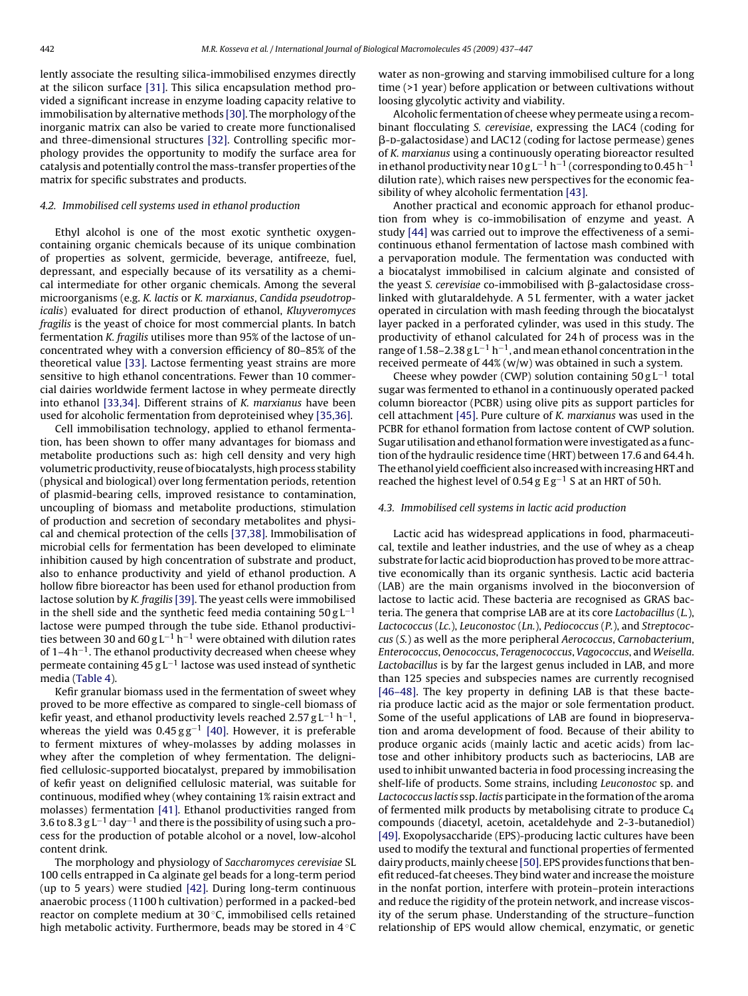lently associate the resulting silica-immobilised enzymes directly at the silicon surface [\[31\]. T](#page-9-0)his silica encapsulation method provided a significant increase in enzyme loading capacity relative to immobilisation by alternative methods [\[30\]. T](#page-9-0)he morphology of the inorganic matrix can also be varied to create more functionalised and three-dimensional structures [\[32\].](#page-9-0) Controlling specific morphology provides the opportunity to modify the surface area for catalysis and potentially control the mass-transfer properties of the matrix for specific substrates and products.

#### 4.2. Immobilised cell systems used in ethanol production

Ethyl alcohol is one of the most exotic synthetic oxygencontaining organic chemicals because of its unique combination of properties as solvent, germicide, beverage, antifreeze, fuel, depressant, and especially because of its versatility as a chemical intermediate for other organic chemicals. Among the several microorganisms (e.g. K. lactis or K. marxianus, Candida pseudotropicalis) evaluated for direct production of ethanol, Kluyveromyces fragilis is the yeast of choice for most commercial plants. In batch fermentation K. fragilis utilises more than 95% of the lactose of unconcentrated whey with a conversion efficiency of 80–85% of the theoretical value [\[33\].](#page-9-0) Lactose fermenting yeast strains are more sensitive to high ethanol concentrations. Fewer than 10 commercial dairies worldwide ferment lactose in whey permeate directly into ethanol [\[33,34\]. D](#page-9-0)ifferent strains of K. marxianus have been used for alcoholic fermentation from deproteinised whey [\[35,36\].](#page-9-0)

Cell immobilisation technology, applied to ethanol fermentation, has been shown to offer many advantages for biomass and metabolite productions such as: high cell density and very high volumetric productivity, reuse of biocatalysts, high process stability (physical and biological) over long fermentation periods, retention of plasmid-bearing cells, improved resistance to contamination, uncoupling of biomass and metabolite productions, stimulation of production and secretion of secondary metabolites and physical and chemical protection of the cells [\[37,38\]. I](#page-9-0)mmobilisation of microbial cells for fermentation has been developed to eliminate inhibition caused by high concentration of substrate and product, also to enhance productivity and yield of ethanol production. A hollow fibre bioreactor has been used for ethanol production from lactose solution by K. fragilis [\[39\]. T](#page-9-0)he yeast cells were immobilised in the shell side and the synthetic feed media containing  $50 \text{ g L}^{-1}$ lactose were pumped through the tube side. Ethanol productivities between 30 and  $60 g L^{-1} h^{-1}$  were obtained with dilution rates of 1–4 h<sup>-1</sup>. The ethanol productivity decreased when cheese whey permeate containing 45 g  $L^{-1}$  lactose was used instead of synthetic media ([Table 4\).](#page-4-0)

Kefir granular biomass used in the fermentation of sweet whey proved to be more effective as compared to single-cell biomass of kefir yeast, and ethanol productivity levels reached 2.57 g L<sup>-1</sup> h<sup>-1</sup>, whereas the yield was  $0.45$  g g<sup>-1</sup> [\[40\].](#page-9-0) However, it is preferable to ferment mixtures of whey-molasses by adding molasses in whey after the completion of whey fermentation. The delignified cellulosic-supported biocatalyst, prepared by immobilisation of kefir yeast on delignified cellulosic material, was suitable for continuous, modified whey (whey containing 1% raisin extract and molasses) fermentation [\[41\]. E](#page-9-0)thanol productivities ranged from 3.6 to 8.3 g L<sup>-1</sup> day<sup>-1</sup> and there is the possibility of using such a process for the production of potable alcohol or a novel, low-alcohol content drink.

The morphology and physiology of Saccharomyces cerevisiae SL 100 cells entrapped in Ca alginate gel beads for a long-term period (up to 5 years) were studied [\[42\].](#page-9-0) During long-term continuous anaerobic process (1100 h cultivation) performed in a packed-bed reactor on complete medium at 30 ◦C, immobilised cells retained high metabolic activity. Furthermore, beads may be stored in 4 ◦C water as non-growing and starving immobilised culture for a long time (>1 year) before application or between cultivations without loosing glycolytic activity and viability.

Alcoholic fermentation of cheese whey permeate using a recombinant flocculating S. cerevisiae, expressing the LAC4 (coding for --d-galactosidase) and LAC12 (coding for lactose permease) genes of K. marxianus using a continuously operating bioreactor resulted in ethanol productivity near  $10 g L^{-1} h^{-1}$  (corresponding to 0.45 h<sup>-1</sup> dilution rate), which raises new perspectives for the economic feasibility of whey alcoholic fermentation [\[43\].](#page-9-0)

Another practical and economic approach for ethanol production from whey is co-immobilisation of enzyme and yeast. A study [\[44\]](#page-9-0) was carried out to improve the effectiveness of a semicontinuous ethanol fermentation of lactose mash combined with a pervaporation module. The fermentation was conducted with a biocatalyst immobilised in calcium alginate and consisted of the yeast *S. cerevisiae* co-immobilised with  $\beta$ -galactosidase crosslinked with glutaraldehyde. A 5 L fermenter, with a water jacket operated in circulation with mash feeding through the biocatalyst layer packed in a perforated cylinder, was used in this study. The productivity of ethanol calculated for 24 h of process was in the range of 1.58–2.38 g L<sup>-1</sup> h<sup>-1</sup>, and mean ethanol concentration in the received permeate of  $44\%$  (w/w) was obtained in such a system.

Cheese whey powder (CWP) solution containing  $50 \text{ g L}^{-1}$  total sugar was fermented to ethanol in a continuously operated packed column bioreactor (PCBR) using olive pits as support particles for cell attachment [\[45\]. P](#page-9-0)ure culture of K. marxianus was used in the PCBR for ethanol formation from lactose content of CWP solution. Sugar utilisation and ethanol formation were investigated as a function of the hydraulic residence time (HRT) between 17.6 and 64.4 h. The ethanol yield coefficient also increased with increasing HRT and reached the highest level of 0.54 g E  $g^{-1}$  S at an HRT of 50 h.

#### 4.3. Immobilised cell systems in lactic acid production

Lactic acid has widespread applications in food, pharmaceutical, textile and leather industries, and the use of whey as a cheap substrate for lactic acid bioproduction has proved to be more attractive economically than its organic synthesis. Lactic acid bacteria (LAB) are the main organisms involved in the bioconversion of lactose to lactic acid. These bacteria are recognised as GRAS bacteria. The genera that comprise LAB are at its core Lactobacillus (L.), Lactococcus (Lc.), Leuconostoc (Ln.), Pediococcus (P.), and Streptococcus (S.) as well as the more peripheral Aerococcus, Carnobacterium, Enterococcus, Oenococcus, Teragenococcus, Vagococcus, and Weisella. Lactobacillus is by far the largest genus included in LAB, and more than 125 species and subspecies names are currently recognised [\[46–48\].](#page-9-0) The key property in defining LAB is that these bacteria produce lactic acid as the major or sole fermentation product. Some of the useful applications of LAB are found in biopreservation and aroma development of food. Because of their ability to produce organic acids (mainly lactic and acetic acids) from lactose and other inhibitory products such as bacteriocins, LAB are used to inhibit unwanted bacteria in food processing increasing the shelf-life of products. Some strains, including Leuconostoc sp. and Lactococcus lactis ssp. lactis participate in the formation of the aroma of fermented milk products by metabolising citrate to produce  $C_4$ compounds (diacetyl, acetoin, acetaldehyde and 2-3-butanediol) [\[49\]. E](#page-9-0)xopolysaccharide (EPS)-producing lactic cultures have been used to modify the textural and functional properties of fermented dairy products,mainly cheese [\[50\]. E](#page-9-0)PS provides functions that benefit reduced-fat cheeses. They bind water and increase the moisture in the nonfat portion, interfere with protein–protein interactions and reduce the rigidity of the protein network, and increase viscosity of the serum phase. Understanding of the structure–function relationship of EPS would allow chemical, enzymatic, or genetic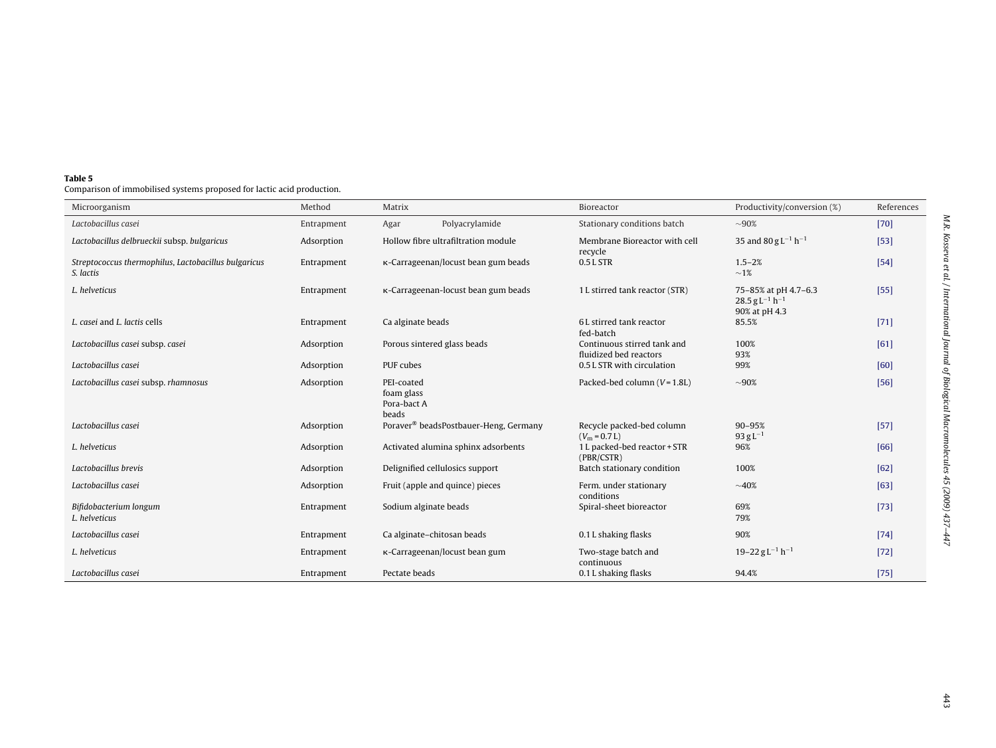#### <span id="page-6-0"></span>**Table 5**

Comparison of immobilised systems proposed for lactic acid production.

| Microorganism                                                     | Method     | Matrix                                           |                                       | Bioreactor                                            | Productivity/conversion (%)                                     | References |
|-------------------------------------------------------------------|------------|--------------------------------------------------|---------------------------------------|-------------------------------------------------------|-----------------------------------------------------------------|------------|
| Lactobacillus casei                                               | Entrapment | Agar                                             | Polyacrylamide                        | Stationary conditions batch                           | $~100\%$                                                        | $[70]$     |
| Lactobacillus delbrueckii subsp. bulgaricus                       | Adsorption |                                                  | Hollow fibre ultrafiltration module   | Membrane Bioreactor with cell<br>recycle              | 35 and $80 g L^{-1} h^{-1}$                                     | $[53]$     |
| Streptococcus thermophilus, Lactobacillus bulgaricus<br>S. lactis | Entrapment |                                                  | κ-Carrageenan/locust bean gum beads   | 0.5 L STR                                             | $1.5 - 2%$<br>$~1\%$                                            | $[54]$     |
| L. helveticus                                                     | Entrapment |                                                  | κ-Carrageenan-locust bean gum beads   | 1 L stirred tank reactor (STR)                        | 75-85% at pH 4.7-6.3<br>$28.5 g L^{-1} h^{-1}$<br>90% at pH 4.3 | $[55]$     |
| L. casei and L. lactis cells                                      | Entrapment | Ca alginate beads                                |                                       | 6L stirred tank reactor<br>fed-batch                  | 85.5%                                                           | $[71]$     |
| Lactobacillus casei subsp. casei                                  | Adsorption |                                                  | Porous sintered glass beads           | Continuous stirred tank and<br>fluidized bed reactors | 100%<br>93%                                                     | [61]       |
| Lactobacillus casei                                               | Adsorption | PUF cubes                                        |                                       | 0.5 L STR with circulation                            | 99%                                                             | [60]       |
| Lactobacillus casei subsp. rhamnosus                              | Adsorption | PEI-coated<br>foam glass<br>Pora-bact A<br>beads |                                       | Packed-bed column $(V=1.8L)$                          | $~100\%$                                                        | $[56]$     |
| Lactobacillus casei                                               | Adsorption |                                                  | Poraver® beadsPostbauer-Heng, Germany | Recycle packed-bed column<br>$(V_{\rm m} = 0.7 L)$    | 90-95%<br>$93 g L^{-1}$                                         | $[57]$     |
| L. helveticus                                                     | Adsorption |                                                  | Activated alumina sphinx adsorbents   | 1 L packed-bed reactor + STR<br>(PBR/CSTR)            | 96%                                                             | [66]       |
| Lactobacillus brevis                                              | Adsorption |                                                  | Delignified cellulosics support       | Batch stationary condition                            | 100%                                                            | $[62]$     |
| Lactobacillus casei                                               | Adsorption |                                                  | Fruit (apple and quince) pieces       | Ferm. under stationary<br>conditions                  | $~10\%$                                                         | $[63]$     |
| Bifidobacterium longum<br>L. helveticus                           | Entrapment | Sodium alginate beads                            |                                       | Spiral-sheet bioreactor                               | 69%<br>79%                                                      | $[73]$     |
| Lactobacillus casei                                               | Entrapment | Ca alginate-chitosan beads                       |                                       | 0.1 L shaking flasks                                  | 90%                                                             | $[74]$     |
| L. helveticus                                                     | Entrapment |                                                  | κ-Carrageenan/locust bean gum         | Two-stage batch and<br>continuous                     | $19-22 g L^{-1} h^{-1}$                                         | $[72]$     |
| Lactobacillus casei                                               | Entrapment | Pectate beads                                    |                                       | 0.1 L shaking flasks                                  | 94.4%                                                           | $[75]$     |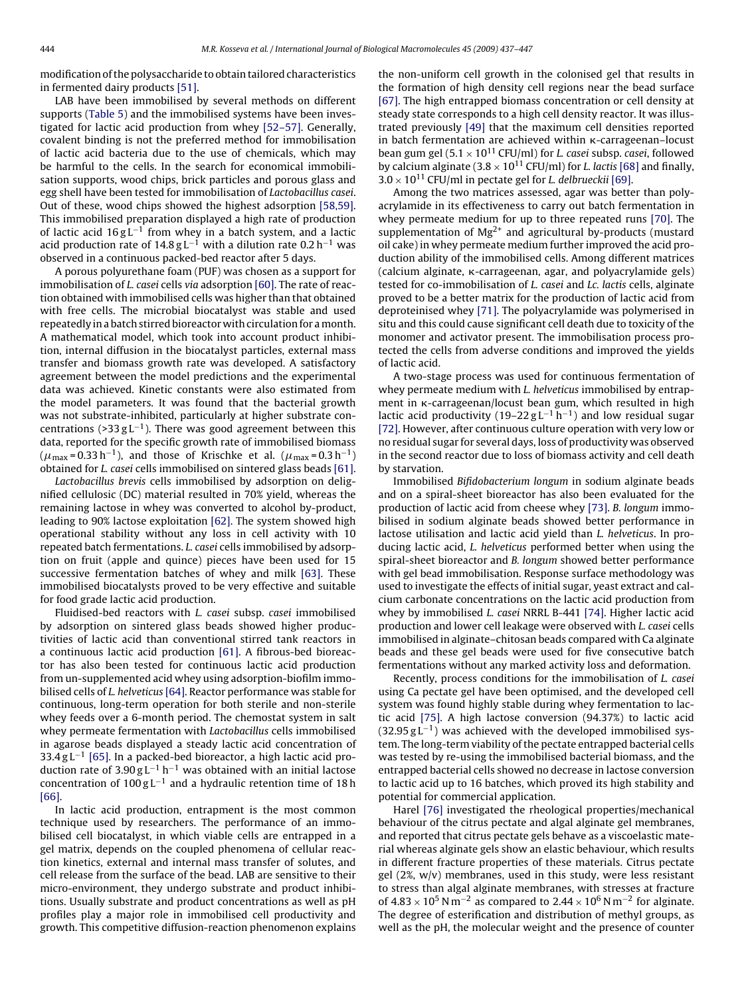modification of the polysaccharide to obtain tailored characteristics in fermented dairy products [\[51\].](#page-9-0)

LAB have been immobilised by several methods on different supports ([Table 5\)](#page-6-0) and the immobilised systems have been investigated for lactic acid production from whey [\[52–57\]. G](#page-9-0)enerally, covalent binding is not the preferred method for immobilisation of lactic acid bacteria due to the use of chemicals, which may be harmful to the cells. In the search for economical immobilisation supports, wood chips, brick particles and porous glass and egg shell have been tested for immobilisation of Lactobacillus casei. Out of these, wood chips showed the highest adsorption [\[58,59\].](#page-9-0) This immobilised preparation displayed a high rate of production of lactic acid  $16 g L^{-1}$  from whey in a batch system, and a lactic acid production rate of 14.8  $gL^{-1}$  with a dilution rate 0.2 h<sup>-1</sup> was observed in a continuous packed-bed reactor after 5 days.

A porous polyurethane foam (PUF) was chosen as a support for immobilisation of L. casei cells via adsorption [\[60\]. T](#page-9-0)he rate of reaction obtained with immobilised cells was higher than that obtained with free cells. The microbial biocatalyst was stable and used repeatedly in a batch stirred bioreactor with circulation for amonth. A mathematical model, which took into account product inhibition, internal diffusion in the biocatalyst particles, external mass transfer and biomass growth rate was developed. A satisfactory agreement between the model predictions and the experimental data was achieved. Kinetic constants were also estimated from the model parameters. It was found that the bacterial growth was not substrate-inhibited, particularly at higher substrate concentrations (>33 g L<sup>-1</sup>). There was good agreement between this data, reported for the specific growth rate of immobilised biomass ( $\mu_{\rm max}$ =0.33 h<sup>-1</sup>), and those of Krischke et al. ( $\mu_{\rm max}$ =0.3 h<sup>-1</sup>) obtained for L. casei cells immobilised on sintered glass beads [\[61\].](#page-9-0)

Lactobacillus brevis cells immobilised by adsorption on delignified cellulosic (DC) material resulted in 70% yield, whereas the remaining lactose in whey was converted to alcohol by-product, leading to 90% lactose exploitation [\[62\]. T](#page-9-0)he system showed high operational stability without any loss in cell activity with 10 repeated batch fermentations. L. casei cells immobilised by adsorption on fruit (apple and quince) pieces have been used for 15 successive fermentation batches of whey and milk [\[63\].](#page-9-0) These immobilised biocatalysts proved to be very effective and suitable for food grade lactic acid production.

Fluidised-bed reactors with L. casei subsp. casei immobilised by adsorption on sintered glass beads showed higher productivities of lactic acid than conventional stirred tank reactors in a continuous lactic acid production [\[61\].](#page-9-0) A fibrous-bed bioreactor has also been tested for continuous lactic acid production from un-supplemented acid whey using adsorption-biofilm immobilised cells of L. helveticus [\[64\]. R](#page-10-0)eactor performance was stable for continuous, long-term operation for both sterile and non-sterile whey feeds over a 6-month period. The chemostat system in salt whey permeate fermentation with Lactobacillus cells immobilised in agarose beads displayed a steady lactic acid concentration of 33.4 g L−<sup>1</sup> [\[65\].](#page-10-0) In a packed-bed bioreactor, a high lactic acid production rate of  $3.90 g L^{-1} h^{-1}$  was obtained with an initial lactose concentration of  $100 gL^{-1}$  and a hydraulic retention time of 18 h [\[66\].](#page-10-0)

In lactic acid production, entrapment is the most common technique used by researchers. The performance of an immobilised cell biocatalyst, in which viable cells are entrapped in a gel matrix, depends on the coupled phenomena of cellular reaction kinetics, external and internal mass transfer of solutes, and cell release from the surface of the bead. LAB are sensitive to their micro-environment, they undergo substrate and product inhibitions. Usually substrate and product concentrations as well as pH profiles play a major role in immobilised cell productivity and growth. This competitive diffusion-reaction phenomenon explains the non-uniform cell growth in the colonised gel that results in the formation of high density cell regions near the bead surface [\[67\]. T](#page-10-0)he high entrapped biomass concentration or cell density at steady state corresponds to a high cell density reactor. It was illustrated previously [\[49\]](#page-9-0) that the maximum cell densities reported in batch fermentation are achieved within  $\kappa$ -carrageenan-locust bean gum gel (5.1  $\times$  10<sup>11</sup> CFU/ml) for *L. casei* subsp. *casei*, followed by calcium alginate (3.8  $\times$  10<sup>11</sup> CFU/ml) for *L*. lactis [\[68\]](#page-10-0) and finally,  $3.0 \times 10^{11}$  CFU/ml in pectate gel for *L. delbrueckii* [\[69\].](#page-10-0)

Among the two matrices assessed, agar was better than polyacrylamide in its effectiveness to carry out batch fermentation in whey permeate medium for up to three repeated runs [\[70\]. T](#page-10-0)he supplementation of  $Mg^{2+}$  and agricultural by-products (mustard oil cake) in whey permeate medium further improved the acid production ability of the immobilised cells. Among different matrices  $(calcium alginate, \kappa-carrageenan, agar, and polyacrylamide gels)$ tested for co-immobilisation of L. casei and Lc. lactis cells, alginate proved to be a better matrix for the production of lactic acid from deproteinised whey [\[71\]. T](#page-10-0)he polyacrylamide was polymerised in situ and this could cause significant cell death due to toxicity of the monomer and activator present. The immobilisation process protected the cells from adverse conditions and improved the yields of lactic acid.

A two-stage process was used for continuous fermentation of whey permeate medium with *L. helveticus* immobilised by entrapment in K-carrageenan/locust bean gum, which resulted in high lactic acid productivity (19–22 g L<sup>-1</sup> h<sup>-1</sup>) and low residual sugar [\[72\]. H](#page-10-0)owever, after continuous culture operation with very low or no residual sugar for several days, loss of productivity was observed in the second reactor due to loss of biomass activity and cell death by starvation.

Immobilised Bifidobacterium longum in sodium alginate beads and on a spiral-sheet bioreactor has also been evaluated for the production of lactic acid from cheese whey [\[73\].](#page-10-0) B. longum immobilised in sodium alginate beads showed better performance in lactose utilisation and lactic acid yield than L. helveticus. In producing lactic acid, L. helveticus performed better when using the spiral-sheet bioreactor and B. longum showed better performance with gel bead immobilisation. Response surface methodology was used to investigate the effects of initial sugar, yeast extract and calcium carbonate concentrations on the lactic acid production from whey by immobilised *L. casei* NRRL B-441 [\[74\]. H](#page-10-0)igher lactic acid production and lower cell leakage were observed with L. casei cells immobilised in alginate–chitosan beads compared with Ca alginate beads and these gel beads were used for five consecutive batch fermentations without any marked activity loss and deformation.

Recently, process conditions for the immobilisation of L. casei using Ca pectate gel have been optimised, and the developed cell system was found highly stable during whey fermentation to lactic acid [\[75\].](#page-10-0) A high lactose conversion (94.37%) to lactic acid  $(32.95 \text{ g L}^{-1})$  was achieved with the developed immobilised system. The long-term viability of the pectate entrapped bacterial cells was tested by re-using the immobilised bacterial biomass, and the entrapped bacterial cells showed no decrease in lactose conversion to lactic acid up to 16 batches, which proved its high stability and potential for commercial application.

Harel [\[76\]](#page-10-0) investigated the rheological properties/mechanical behaviour of the citrus pectate and algal alginate gel membranes, and reported that citrus pectate gels behave as a viscoelastic material whereas alginate gels show an elastic behaviour, which results in different fracture properties of these materials. Citrus pectate gel (2%, w/v) membranes, used in this study, were less resistant to stress than algal alginate membranes, with stresses at fracture of 4.83 × 10<sup>5</sup> N m<sup>-2</sup> as compared to 2.44 × 10<sup>6</sup> N m<sup>-2</sup> for alginate. The degree of esterification and distribution of methyl groups, as well as the pH, the molecular weight and the presence of counter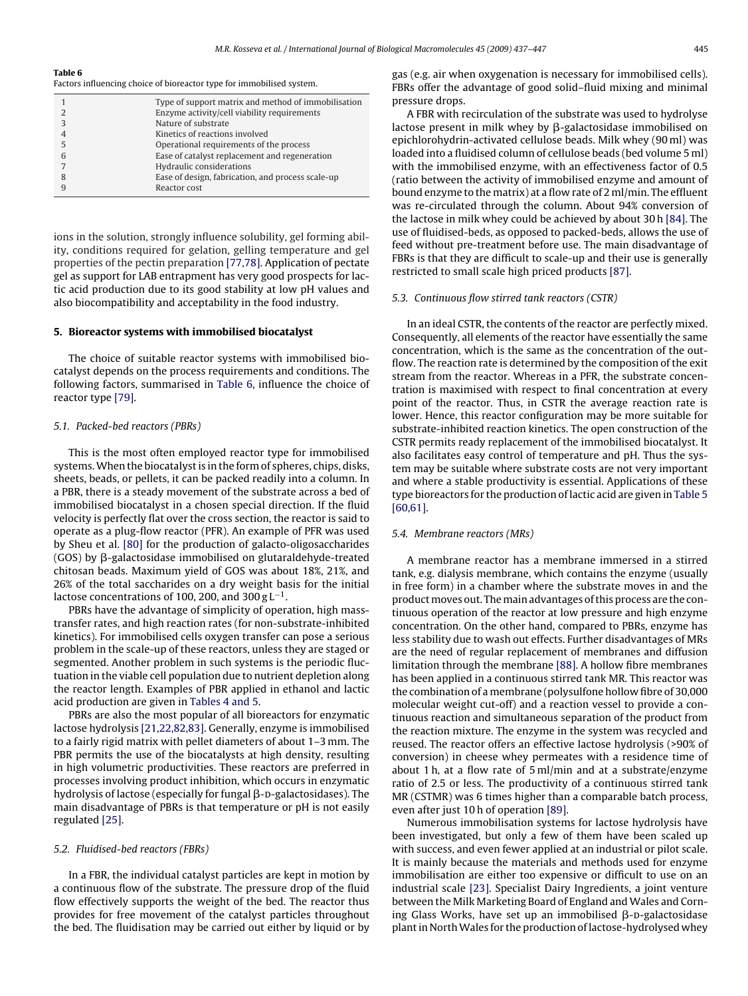#### **Table 6**

Factors influencing choice of bioreactor type for immobilised system.

|   | Type of support matrix and method of immobilisation |
|---|-----------------------------------------------------|
| っ | Enzyme activity/cell viability requirements         |
| 3 | Nature of substrate                                 |
|   | Kinetics of reactions involved                      |
| 5 | Operational requirements of the process             |
| 6 | Ease of catalyst replacement and regeneration       |
| 7 | Hydraulic considerations                            |
| 8 | Ease of design, fabrication, and process scale-up   |
| q | Reactor cost                                        |
|   |                                                     |

ions in the solution, strongly influence solubility, gel forming ability, conditions required for gelation, gelling temperature and gel properties of the pectin preparation [\[77,78\]. A](#page-10-0)pplication of pectate gel as support for LAB entrapment has very good prospects for lactic acid production due to its good stability at low pH values and also biocompatibility and acceptability in the food industry.

#### **5. Bioreactor systems with immobilised biocatalyst**

The choice of suitable reactor systems with immobilised biocatalyst depends on the process requirements and conditions. The following factors, summarised in Table 6, influence the choice of reactor type [\[79\].](#page-10-0)

#### 5.1. Packed-bed reactors (PBRs)

This is the most often employed reactor type for immobilised systems.When the biocatalyst is in the form of spheres, chips, disks, sheets, beads, or pellets, it can be packed readily into a column. In a PBR, there is a steady movement of the substrate across a bed of immobilised biocatalyst in a chosen special direction. If the fluid velocity is perfectly flat over the cross section, the reactor is said to operate as a plug-flow reactor (PFR). An example of PFR was used by Sheu et al. [\[80\]](#page-10-0) for the production of galacto-oligosaccharides (GOS) by β-galactosidase immobilised on glutaraldehyde-treated chitosan beads. Maximum yield of GOS was about 18%, 21%, and 26% of the total saccharides on a dry weight basis for the initial lactose concentrations of 100, 200, and 300 g  $L^{-1}$ .

PBRs have the advantage of simplicity of operation, high masstransfer rates, and high reaction rates (for non-substrate-inhibited kinetics). For immobilised cells oxygen transfer can pose a serious problem in the scale-up of these reactors, unless they are staged or segmented. Another problem in such systems is the periodic fluctuation in the viable cell population due to nutrient depletion along the reactor length. Examples of PBR applied in ethanol and lactic acid production are given in [Tables 4 and 5.](#page-4-0)

PBRs are also the most popular of all bioreactors for enzymatic lactose hydrolysis [\[21,22,82,83\]. G](#page-9-0)enerally, enzyme is immobilised to a fairly rigid matrix with pellet diameters of about 1–3 mm. The PBR permits the use of the biocatalysts at high density, resulting in high volumetric productivities. These reactors are preferred in processes involving product inhibition, which occurs in enzymatic hydrolysis of lactose (especially for fungal  $\beta$ -D-galactosidases). The main disadvantage of PBRs is that temperature or pH is not easily regulated [\[25\].](#page-9-0)

## 5.2. Fluidised-bed reactors (FBRs)

In a FBR, the individual catalyst particles are kept in motion by a continuous flow of the substrate. The pressure drop of the fluid flow effectively supports the weight of the bed. The reactor thus provides for free movement of the catalyst particles throughout the bed. The fluidisation may be carried out either by liquid or by gas (e.g. air when oxygenation is necessary for immobilised cells). FBRs offer the advantage of good solid–fluid mixing and minimal pressure drops.

A FBR with recirculation of the substrate was used to hydrolyse lactose present in milk whey by  $\beta$ -galactosidase immobilised on epichlorohydrin-activated cellulose beads. Milk whey (90 ml) was loaded into a fluidised column of cellulose beads (bed volume 5 ml) with the immobilised enzyme, with an effectiveness factor of 0.5 (ratio between the activity of immobilised enzyme and amount of bound enzyme to the matrix) at a flow rate of 2 ml/min. The effluent was re-circulated through the column. About 94% conversion of the lactose in milk whey could be achieved by about 30 h [\[84\]. T](#page-10-0)he use of fluidised-beds, as opposed to packed-beds, allows the use of feed without pre-treatment before use. The main disadvantage of FBRs is that they are difficult to scale-up and their use is generally restricted to small scale high priced products [\[87\].](#page-10-0)

#### 5.3. Continuous flow stirred tank reactors (CSTR)

In an ideal CSTR, the contents of the reactor are perfectly mixed. Consequently, all elements of the reactor have essentially the same concentration, which is the same as the concentration of the outflow. The reaction rate is determined by the composition of the exit stream from the reactor. Whereas in a PFR, the substrate concentration is maximised with respect to final concentration at every point of the reactor. Thus, in CSTR the average reaction rate is lower. Hence, this reactor configuration may be more suitable for substrate-inhibited reaction kinetics. The open construction of the CSTR permits ready replacement of the immobilised biocatalyst. It also facilitates easy control of temperature and pH. Thus the system may be suitable where substrate costs are not very important and where a stable productivity is essential. Applications of these type bioreactors for the production of lactic acid are given in [Table 5](#page-6-0) [\[60,61\].](#page-9-0)

#### 5.4. Membrane reactors (MRs)

A membrane reactor has a membrane immersed in a stirred tank, e.g. dialysis membrane, which contains the enzyme (usually in free form) in a chamber where the substrate moves in and the product moves out. The main advantages of this process are the continuous operation of the reactor at low pressure and high enzyme concentration. On the other hand, compared to PBRs, enzyme has less stability due to wash out effects. Further disadvantages of MRs are the need of regular replacement of membranes and diffusion limitation through the membrane [\[88\]. A](#page-10-0) hollow fibre membranes has been applied in a continuous stirred tank MR. This reactor was the combination of a membrane (polysulfone hollow fibre of 30,000 molecular weight cut-off) and a reaction vessel to provide a continuous reaction and simultaneous separation of the product from the reaction mixture. The enzyme in the system was recycled and reused. The reactor offers an effective lactose hydrolysis (>90% of conversion) in cheese whey permeates with a residence time of about 1 h, at a flow rate of 5 ml/min and at a substrate/enzyme ratio of 2.5 or less. The productivity of a continuous stirred tank MR (CSTMR) was 6 times higher than a comparable batch process, even after just 10 h of operation [\[89\].](#page-10-0)

Numerous immobilisation systems for lactose hydrolysis have been investigated, but only a few of them have been scaled up with success, and even fewer applied at an industrial or pilot scale. It is mainly because the materials and methods used for enzyme immobilisation are either too expensive or difficult to use on an industrial scale [\[23\]. S](#page-9-0)pecialist Dairy Ingredients, a joint venture between the Milk Marketing Board of England and Wales and Corning Glass Works, have set up an immobilised  $\beta$ -D-galactosidase plant in NorthWales for the production of lactose-hydrolysed whey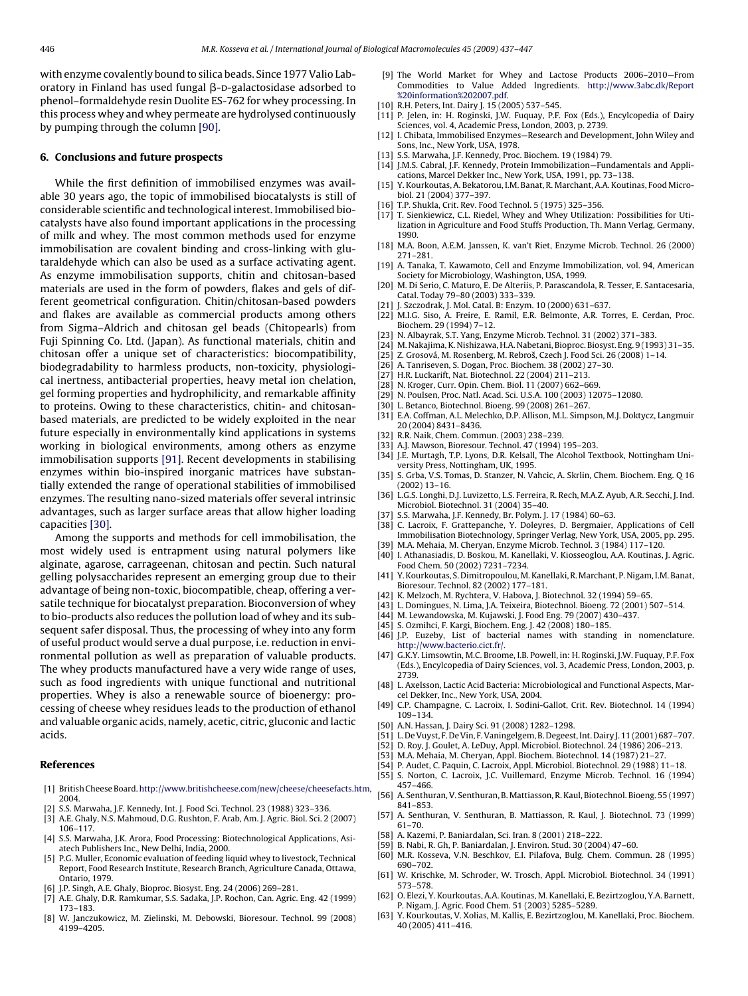<span id="page-9-0"></span>with enzyme covalently bound to silica beads. Since 1977 Valio Laboratory in Finland has used fungal  $\beta$ -D-galactosidase adsorbed to phenol–formaldehyde resin Duolite ES-762 for whey processing. In this process whey and whey permeate are hydrolysed continuously by pumping through the column [\[90\].](#page-10-0)

#### **6. Conclusions and future prospects**

While the first definition of immobilised enzymes was available 30 years ago, the topic of immobilised biocatalysts is still of considerable scientific and technological interest. Immobilised biocatalysts have also found important applications in the processing of milk and whey. The most common methods used for enzyme immobilisation are covalent binding and cross-linking with glutaraldehyde which can also be used as a surface activating agent. As enzyme immobilisation supports, chitin and chitosan-based materials are used in the form of powders, flakes and gels of different geometrical configuration. Chitin/chitosan-based powders and flakes are available as commercial products among others from Sigma–Aldrich and chitosan gel beads (Chitopearls) from Fuji Spinning Co. Ltd. (Japan). As functional materials, chitin and chitosan offer a unique set of characteristics: biocompatibility, biodegradability to harmless products, non-toxicity, physiological inertness, antibacterial properties, heavy metal ion chelation, gel forming properties and hydrophilicity, and remarkable affinity to proteins. Owing to these characteristics, chitin- and chitosanbased materials, are predicted to be widely exploited in the near future especially in environmentally kind applications in systems working in biological environments, among others as enzyme immobilisation supports [\[91\]. R](#page-10-0)ecent developments in stabilising enzymes within bio-inspired inorganic matrices have substantially extended the range of operational stabilities of immobilised enzymes. The resulting nano-sized materials offer several intrinsic advantages, such as larger surface areas that allow higher loading capacities [30].

Among the supports and methods for cell immobilisation, the most widely used is entrapment using natural polymers like alginate, agarose, carrageenan, chitosan and pectin. Such natural gelling polysaccharides represent an emerging group due to their advantage of being non-toxic, biocompatible, cheap, offering a versatile technique for biocatalyst preparation. Bioconversion of whey to bio-products also reduces the pollution load of whey and its subsequent safer disposal. Thus, the processing of whey into any form of useful product would serve a dual purpose, i.e. reduction in environmental pollution as well as preparation of valuable products. The whey products manufactured have a very wide range of uses, such as food ingredients with unique functional and nutritional properties. Whey is also a renewable source of bioenergy: processing of cheese whey residues leads to the production of ethanol and valuable organic acids, namely, acetic, citric, gluconic and lactic acids.

#### **References**

- [1] British Cheese Board.[http://www.britishcheese.com/new/cheese/cheesefacts.htm,](http://www.britishcheese.com/new/cheese/cheesefacts.htm) 2004.
- [2] S.S. Marwaha, J.F. Kennedy, Int. J. Food Sci. Technol. 23 (1988) 323–336.
- [3] A.E. Ghaly, N.S. Mahmoud, D.G. Rushton, F. Arab, Am. J. Agric. Biol. Sci. 2 (2007)
- 106–117. [4] S.S. Marwaha, J.K. Arora, Food Processing: Biotechnological Applications, Asi-
- atech Publishers Inc., New Delhi, India, 2000. [5] P.G. Muller, Economic evaluation of feeding liquid whey to livestock, Technical Report, Food Research Institute, Research Branch, Agriculture Canada, Ottawa,
- Ontario, 1979. [6] J.P. Singh, A.E. Ghaly, Bioproc. Biosyst. Eng. 24 (2006) 269–281.
- [7] A.E. Ghaly, D.R. Ramkumar, S.S. Sadaka, J.P. Rochon, Can. Agric. Eng. 42 (1999) 173–183.
- [8] W. Janczukowicz, M. Zielinski, M. Debowski, Bioresour. Technol. 99 (2008) 4199–4205.
- [9] The World Market for Whey and Lactose Products 2006–2010—From Commodities to Value Added Ingredients. [http://www.3abc.dk/Report](http://www.3abc.dk/Report%20information%202007.pdf) [%20information%202007.pdf.](http://www.3abc.dk/Report%20information%202007.pdf)
- [10] R.H. Peters, Int. Dairy J. 15 (2005) 537–545.
- [11] P. Jelen, in: H. Roginski, J.W. Fuquay, P.F. Fox (Eds.), Encylcopedia of Dairy Sciences, vol. 4, Academic Press, London, 2003, p. 2739.
- [12] I. Chibata, Immobilised Enzymes-Research and Development, John Wiley and Sons, Inc., New York, USA, 1978.
- [13] S.S. Marwaha, J.F. Kennedy, Proc. Biochem. 19 (1984) 79.
- [14] J.M.S. Cabral, J.F. Kennedy, Protein Immobilization—Fundamentals and Applications, Marcel Dekker Inc., New York, USA, 1991, pp. 73–138.
- [15] Y. Kourkoutas, A. Bekatorou, I.M. Banat, R. Marchant, A.A. Koutinas, Food Microbiol. 21 (2004) 377–397.
- [16] T.P. Shukla, Crit. Rev. Food Technol. 5 (1975) 325–356.
- T. Sienkiewicz, C.L. Riedel, Whey and Whey Utilization: Possibilities for Utilization in Agriculture and Food Stuffs Production, Th. Mann Verlag, Germany, 1990.
- [18] M.A. Boon, A.E.M. Janssen, K. van't Riet, Enzyme Microb. Technol. 26 (2000) 271–281.
- [19] A. Tanaka, T. Kawamoto, Cell and Enzyme Immobilization, vol. 94, American Society for Microbiology, Washington, USA, 1999.
- [20] M. Di Serio, C. Maturo, E. De Alteriis, P. Parascandola, R. Tesser, E. Santacesaria, Catal. Today 79–80 (2003) 333–339.
- J. Szczodrak, J. Mol. Catal. B: Enzym. 10 (2000) 631-637.
- [22] M.I.G. Siso, A. Freire, E. Ramil, E.R. Belmonte, A.R. Torres, E. Cerdan, Proc. Biochem. 29 (1994) 7–12.
- [23] N. Albayrak, S.T. Yang, Enzyme Microb. Technol. 31 (2002) 371–383.
- [24] M. Nakajima, K. Nishizawa, H.A. Nabetani, Bioproc. Biosyst. Eng. 9 (1993) 31–35.
- [25] Z. Grosová, M. Rosenberg, M. Rebroš, Czech J. Food Sci. 26 (2008) 1-14.
- [26] A. Tanriseven, S. Dogan, Proc. Biochem. 38 (2002) 27–30.
- [27] H.R. Luckarift, Nat. Biotechnol. 22 (2004) 211–213.
- [28] N. Kroger, Curr. Opin. Chem. Biol. 11 (2007) 662–669.
- [29] N. Poulsen, Proc. Natl. Acad. Sci. U.S.A. 100 (2003) 12075–12080.
- [30] L. Betanco, Biotechnol. Bioeng. 99 (2008) 261–267.
- [31] E.A. Coffman, A.L. Melechko, D.P. Allison, M.L. Simpson, M.J. Doktycz, Langmuir 20 (2004) 8431–8436.
- [32] R.R. Naik, Chem. Commun. (2003) 238–239.
- [33] A.J. Mawson, Bioresour. Technol. 47 (1994) 195–203.
- [34] J.E. Murtagh, T.P. Lyons, D.R. Kelsall, The Alcohol Textbook, Nottingham University Press, Nottingham, UK, 1995.
- [35] S. Grba, V.S. Tomas, D. Stanzer, N. Vahcic, A. Skrlin, Chem. Biochem. Eng. Q 16 (2002) 13–16.
- [36] L.G.S. Longhi, D.J. Luvizetto, L.S. Ferreira, R. Rech, M.A.Z. Ayub, A.R. Secchi, J. Ind. Microbiol. Biotechnol. 31 (2004) 35–40.
- [37] S.S. Marwaha, J.F. Kennedy, Br. Polym. J. 17 (1984) 60-63.
- [38] C. Lacroix, F. Grattepanche, Y. Doleyres, D. Bergmaier, Applications of Cell Immobilisation Biotechnology, Springer Verlag, New York, USA, 2005, pp. 295.
- [39] M.A. Mehaia, M. Cheryan, Enzyme Microb. Technol. 3 (1984) 117–120. [40] I. Athanasiadis, D. Boskou, M. Kanellaki, V. Kiosseoglou, A.A. Koutinas, J. Agric.
- Food Chem. 50 (2002) 7231–7234. [41] Y. Kourkoutas, S. Dimitropoulou,M. Kanellaki, R.Marchant, P. Nigam, I.M. Banat,
- Bioresour. Technol. 82 (2002) 177–181.
- [42] K. Melzoch, M. Rychtera, V. Habova, J. Biotechnol. 32 (1994) 59–65.
- L. Domingues, N. Lima, J.A. Teixeira, Biotechnol. Bioeng. 72 (2001) 507-514.
- [44] M. Lewandowska, M. Kujawski, J. Food Eng. 79 (2007) 430–437.
- [45] S. Ozmihci, F. Kargi, Biochem. Eng. J. 42 (2008) 180–185.
- [46] J.P. Euzeby, List of bacterial names with standing in nomenclature. <http://www.bacterio.cict.fr/>.
- [47] G.K.Y. Limsowtin, M.C. Broome, I.B. Powell, in: H. Roginski, J.W. Fuquay, P.F. Fox (Eds.), Encylcopedia of Dairy Sciences, vol. 3, Academic Press, London, 2003, p. 2739.
- [48] L. Axelsson, Lactic Acid Bacteria: Microbiological and Functional Aspects, Marcel Dekker, Inc., New York, USA, 2004.
- [49] C.P. Champagne, C. Lacroix, I. Sodini-Gallot, Crit. Rev. Biotechnol. 14 (1994) 109–134.
- [50] A.N. Hassan, J. Dairy Sci. 91 (2008) 1282–1298.
- [51] L. De Vuyst, F. De Vin, F. Vaningelgem, B. Degeest, Int. Dairy J. 11 (2001) 687–707.
- [52] D. Roy, J. Goulet, A. LeDuy, Appl. Microbiol. Biotechnol. 24 (1986) 206–213.
- [53] M.A. Mehaia, M. Cheryan, Appl. Biochem. Biotechnol. 14 (1987) 21–27.
- [54] P. Audet, C. Paquin, C. Lacroix, Appl. Microbiol. Biotechnol. 29 (1988) 11–18.
- [55] S. Norton, C. Lacroix, J.C. Vuillemard, Enzyme Microb. Technol. 16 (1994) 457–466.
- [56] A. Senthuran, V. Senthuran, B. Mattiasson, R. Kaul, Biotechnol. Bioeng. 55 (1997) 841–853.
- [57] A. Senthuran, V. Senthuran, B. Mattiasson, R. Kaul, J. Biotechnol. 73 (1999) 61–70.
- [58] A. Kazemi, P. Baniardalan, Sci. Iran. 8 (2001) 218–222.
- [59] B. Nabi, R. Gh, P. Baniardalan, J. Environ. Stud. 30 (2004) 47–60.
- [60] M.R. Kosseva, V.N. Beschkov, E.I. Pilafova, Bulg. Chem. Commun. 28 (1995) 690–702.
- [61] W. Krischke, M. Schroder, W. Trosch, Appl. Microbiol. Biotechnol. 34 (1991) 573–578.
- [62] O. Elezi, Y. Kourkoutas, A.A. Koutinas, M. Kanellaki, E. Bezirtzoglou, Y.A. Barnett, P. Nigam, J. Agric. Food Chem. 51 (2003) 5285–5289.
- [63] Y. Kourkoutas, V. Xolias, M. Kallis, E. Bezirtzoglou, M. Kanellaki, Proc. Biochem. 40 (2005) 411–416.